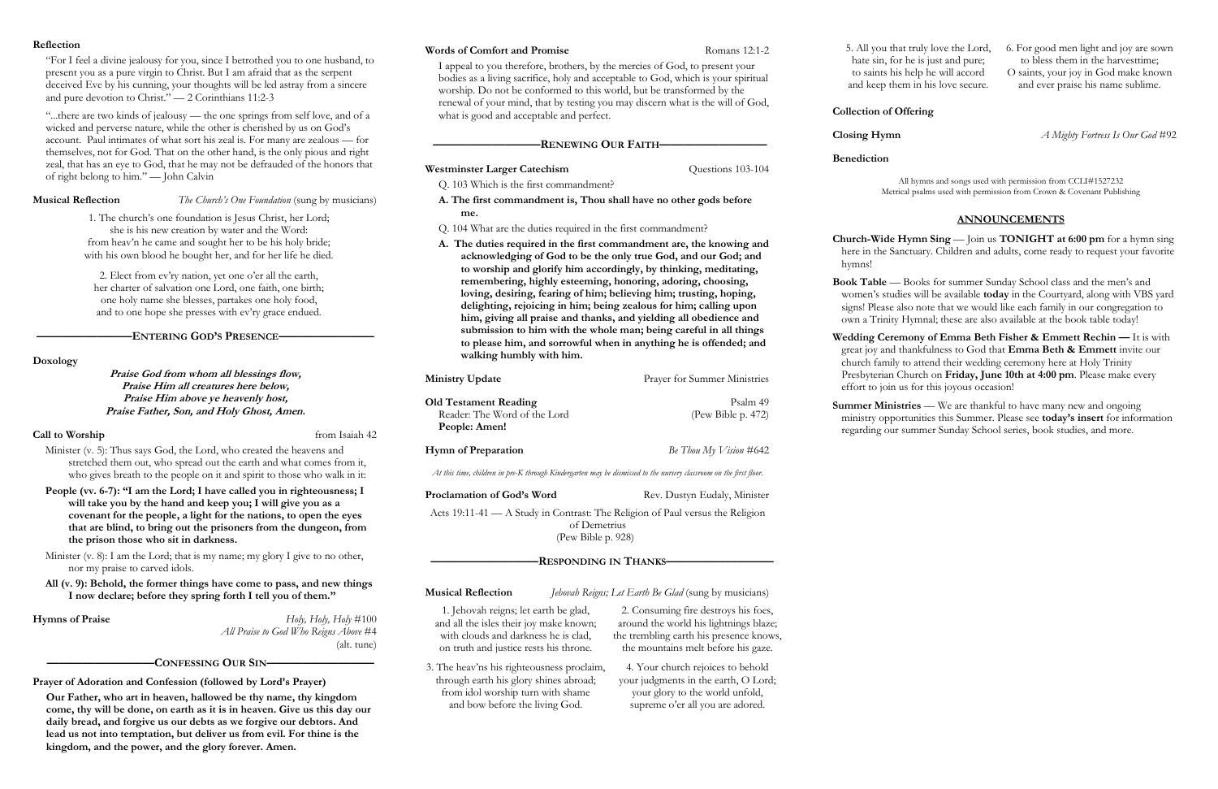### **Reflection**

"For I feel a divine jealousy for you, since I betrothed you to one husband, to present you as a pure virgin to Christ. But I am afraid that as the serpent deceived Eve by his cunning, your thoughts will be led astray from a sincere and pure devotion to Christ." — 2 Corinthians 11:2-3

"...there are two kinds of jealousy — the one springs from self love, and of a wicked and perverse nature, while the other is cherished by us on God's account. Paul intimates of what sort his zeal is. For many are zealous — for themselves, not for God. That on the other hand, is the only pious and right zeal, that has an eye to God, that he may not be defrauded of the honors that of right belong to him." — John Calvin

**Musical Reflection** *The Church's One Foundation* (sung by musicians)

**————————ENTERING GOD'S PRESENCE————————**

Minister (v. 8): I am the Lord; that is my name; my glory I give to no other, nor my praise to carved idols.

**Doxology**

**Praise God from whom all blessings flow, Praise Him all creatures here below, Praise Him above ye heavenly host, Praise Father, Son, and Holy Ghost, Amen.**

# **Call to Worship** from Isaiah 42

**Hymns of Praise** *Holy, Holy, Holy, Holy*  $\sharp$ 100 *All Praise to God Who Reigns Above* #4 (alt. tune)

Minister (v. 5): Thus says God, the Lord, who created the heavens and stretched them out, who spread out the earth and what comes from it, who gives breath to the people on it and spirit to those who walk in it:

**People (vv. 6-7): "I am the Lord; I have called you in righteousness; I will take you by the hand and keep you; I will give you as a covenant for the people, a light for the nations, to open the eyes that are blind, to bring out the prisoners from the dungeon, from the prison those who sit in darkness.**

- **Westminster Larger Catechism** Questions 103-104
- Q. 103 Which is the first commandment?
- **A. The first commandment is, Thou shall have no other gods before me.**

**All (v. 9): Behold, the former things have come to pass, and new things I now declare; before they spring forth I tell you of them."** 

**Old Testament Reading** Psalm 49 Reader: The Word of the Lord (Pew Bible p. 472) **People: Amen!**

**Hymn of Preparation** *Be Thou My Vision* #642

## **—————————CONFESSING OUR SIN—————————**

**Prayer of Adoration and Confession (followed by Lord's Prayer)**

**Our Father, who art in heaven, hallowed be thy name, thy kingdom come, thy will be done, on earth as it is in heaven. Give us this day our daily bread, and forgive us our debts as we forgive our debtors. And lead us not into temptation, but deliver us from evil. For thine is the kingdom, and the power, and the glory forever. Amen.**

### **Words of Comfort and Promise** Romans 12:1-2

I appeal to you therefore, brothers, by the mercies of God, to present your bodies as a living sacrifice, holy and acceptable to God, which is your spiritual worship. Do not be conformed to this world, but be transformed by the renewal of your mind, that by testing you may discern what is the will of God, what is good and acceptable and perfect.

> **Wedding Ceremony of Emma Beth Fisher & Emmett Rechin — It is with** great joy and thankfulness to God that **Emma Beth & Emmett** invite our church family to attend their wedding ceremony here at Holy Trinity Presbyterian Church on **Friday, June 10th at 4:00 pm**. Please make every effort to join us for this joyous occasion!

> **Summer Ministries** — We are thankful to have many new and ongoing ministry opportunities this Summer. Please see **today's insert** for information regarding our summer Sunday School series, book studies, and more.

## **—————————RENEWING OUR FAITH—————————**

Q. 104 What are the duties required in the first commandment?

**A. The duties required in the first commandment are, the knowing and acknowledging of God to be the only true God, and our God; and to worship and glorify him accordingly, by thinking, meditating, remembering, highly esteeming, honoring, adoring, choosing, loving, desiring, fearing of him; believing him; trusting, hoping, delighting, rejoicing in him; being zealous for him; calling upon him, giving all praise and thanks, and yielding all obedience and submission to him with the whole man; being careful in all things to please him, and sorrowful when in anything he is offended; and walking humbly with him.**

**Ministry Update** Prayer for Summer Ministries

*At this time, children in pre-K through Kindergarten may be dismissed to the nursery classroom on the first floor.*

**Proclamation of God's Word** Rev. Dustyn Eudaly, Minister

Acts 19:11-41 — A Study in Contrast: The Religion of Paul versus the Religion of Demetrius

(Pew Bible p. 928)

# **—————————RESPONDING IN THANKS—————————**

**Musical Reflection** *Jehovah Reigns; Let Earth Be Glad* (sung by musicians)

**Collection of Offering**

**Closing Hymn** *A Mighty Fortress Is Our God* #92

**Benediction**

All hymns and songs used with permission from CCLI#1527232 Metrical psalms used with permission from Crown & Covenant Publishing

# **ANNOUNCEMENTS**

**Church-Wide Hymn Sing** — Join us **TONIGHT at 6:00 pm** for a hymn sing here in the Sanctuary. Children and adults, come ready to request your favorite hymns!

**Book Table** — Books for summer Sunday School class and the men's and women's studies will be available **today** in the Courtyard, along with VBS yard signs! Please also note that we would like each family in our congregation to own a Trinity Hymnal; these are also available at the book table today!

1. The church's one foundation is Jesus Christ, her Lord; she is his new creation by water and the Word: from heav'n he came and sought her to be his holy bride; with his own blood he bought her, and for her life he died.

2. Elect from ev'ry nation, yet one o'er all the earth, her charter of salvation one Lord, one faith, one birth; one holy name she blesses, partakes one holy food, and to one hope she presses with ev'ry grace endued.

> 1. Jehovah reigns; let earth be glad, and all the isles their joy make known; with clouds and darkness he is clad, on truth and justice rests his throne.

2. Consuming fire destroys his foes, around the world his lightnings blaze; the trembling earth his presence knows, the mountains melt before his gaze.

3. The heav'ns his righteousness proclaim, through earth his glory shines abroad; from idol worship turn with shame and bow before the living God.

4. Your church rejoices to behold your judgments in the earth, O Lord; your glory to the world unfold, supreme o'er all you are adored.

5. All you that truly love the Lord, hate sin, for he is just and pure; to saints his help he will accord and keep them in his love secure.

- 6. For good men light and joy are sown to bless them in the harvesttime;
- O saints, your joy in God make known and ever praise his name sublime.